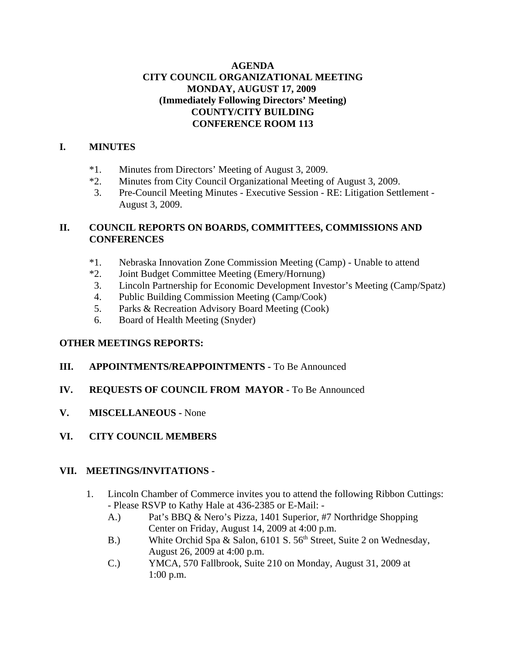## **AGENDA CITY COUNCIL ORGANIZATIONAL MEETING MONDAY, AUGUST 17, 2009 (Immediately Following Directors' Meeting) COUNTY/CITY BUILDING CONFERENCE ROOM 113**

### **I. MINUTES**

- \*1. Minutes from Directors' Meeting of August 3, 2009.
- \*2. Minutes from City Council Organizational Meeting of August 3, 2009.
- 3. Pre-Council Meeting Minutes Executive Session RE: Litigation Settlement August 3, 2009.

# **II. COUNCIL REPORTS ON BOARDS, COMMITTEES, COMMISSIONS AND CONFERENCES**

- \*1. Nebraska Innovation Zone Commission Meeting (Camp) Unable to attend
- \*2. Joint Budget Committee Meeting (Emery/Hornung)
- 3. Lincoln Partnership for Economic Development Investor's Meeting (Camp/Spatz)
- 4. Public Building Commission Meeting (Camp/Cook)
- 5. Parks & Recreation Advisory Board Meeting (Cook)
- 6. Board of Health Meeting (Snyder)

## **OTHER MEETINGS REPORTS:**

## **III. APPOINTMENTS/REAPPOINTMENTS -** To Be Announced

## **IV. REQUESTS OF COUNCIL FROM MAYOR -** To Be Announced

- **V. MISCELLANEOUS** None
- **VI. CITY COUNCIL MEMBERS**

## **VII. MEETINGS/INVITATIONS -**

- 1. Lincoln Chamber of Commerce invites you to attend the following Ribbon Cuttings: - Please RSVP to Kathy Hale at 436-2385 or E-Mail: -
	- A.) Pat's BBQ & Nero's Pizza, 1401 Superior, #7 Northridge Shopping Center on Friday, August 14, 2009 at 4:00 p.m.
	- B.) White Orchid Spa & Salon, 6101 S. 56<sup>th</sup> Street, Suite 2 on Wednesday, August 26, 2009 at 4:00 p.m.
	- C.) YMCA, 570 Fallbrook, Suite 210 on Monday, August 31, 2009 at 1:00 p.m.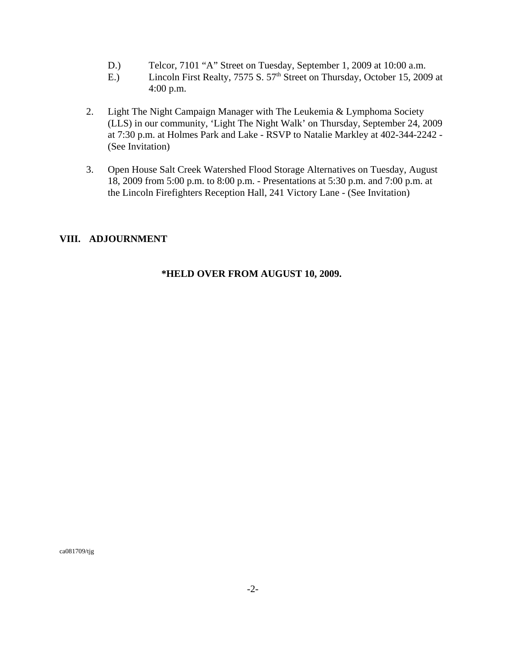- D.) Telcor, 7101 "A" Street on Tuesday, September 1, 2009 at 10:00 a.m.
- E.) Lincoln First Realty, 7575 S. 57<sup>th</sup> Street on Thursday, October 15, 2009 at 4:00 p.m.
- 2. Light The Night Campaign Manager with The Leukemia & Lymphoma Society (LLS) in our community, 'Light The Night Walk' on Thursday, September 24, 2009 at 7:30 p.m. at Holmes Park and Lake - RSVP to Natalie Markley at 402-344-2242 - (See Invitation)
- 3. Open House Salt Creek Watershed Flood Storage Alternatives on Tuesday, August 18, 2009 from 5:00 p.m. to 8:00 p.m. - Presentations at 5:30 p.m. and 7:00 p.m. at the Lincoln Firefighters Reception Hall, 241 Victory Lane - (See Invitation)

#### **VIII. ADJOURNMENT**

### **\*HELD OVER FROM AUGUST 10, 2009.**

ca081709/tjg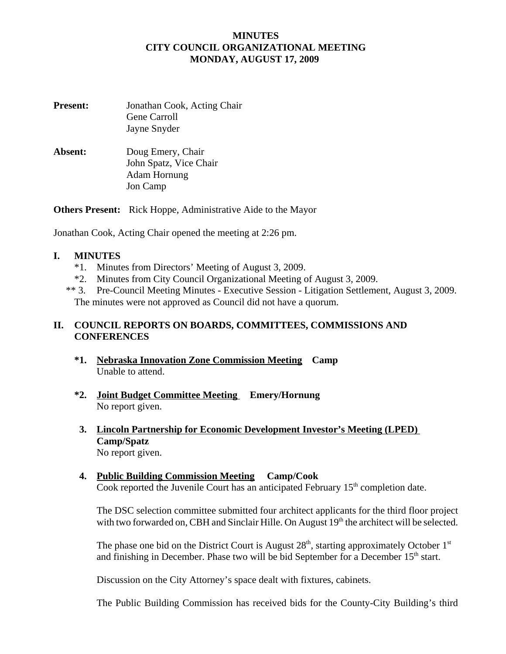### **MINUTES CITY COUNCIL ORGANIZATIONAL MEETING MONDAY, AUGUST 17, 2009**

| <b>Present:</b> | Jonathan Cook, Acting Chair<br>Gene Carroll<br>Jayne Snyder             |
|-----------------|-------------------------------------------------------------------------|
| Absent:         | Doug Emery, Chair<br>John Spatz, Vice Chair<br>Adam Hornung<br>Jon Camp |

**Others Present:** Rick Hoppe, Administrative Aide to the Mayor

Jonathan Cook, Acting Chair opened the meeting at 2:26 pm.

### **I. MINUTES**

- \*1. Minutes from Directors' Meeting of August 3, 2009.
- \*2. Minutes from City Council Organizational Meeting of August 3, 2009.
- \*\* 3. Pre-Council Meeting Minutes Executive Session Litigation Settlement, August 3, 2009. The minutes were not approved as Council did not have a quorum.

## **II. COUNCIL REPORTS ON BOARDS, COMMITTEES, COMMISSIONS AND CONFERENCES**

- **\*1. Nebraska Innovation Zone Commission Meeting Camp** Unable to attend.
- **\*2. Joint Budget Committee Meeting Emery/Hornung**  No report given.
- **3. Lincoln Partnership for Economic Development Investor's Meeting (LPED) Camp/Spatz** No report given.
	-
- **4. Public Building Commission Meeting Camp/Cook**  Cook reported the Juvenile Court has an anticipated February  $15<sup>th</sup>$  completion date.

The DSC selection committee submitted four architect applicants for the third floor project with two forwarded on, CBH and Sinclair Hille. On August 19<sup>th</sup> the architect will be selected.

The phase one bid on the District Court is August  $28<sup>th</sup>$ , starting approximately October  $1<sup>st</sup>$ and finishing in December. Phase two will be bid September for a December  $15<sup>th</sup>$  start.

Discussion on the City Attorney's space dealt with fixtures, cabinets.

The Public Building Commission has received bids for the County-City Building's third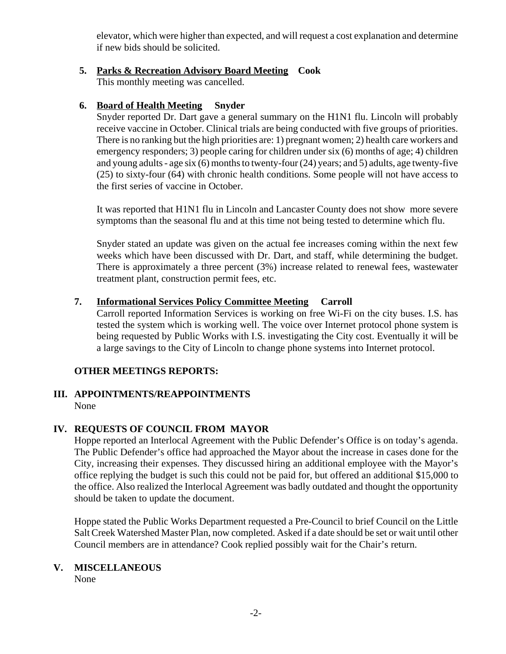elevator, which were higher than expected, and will request a cost explanation and determine if new bids should be solicited.

## **5. Parks & Recreation Advisory Board Meeting Cook**

This monthly meeting was cancelled.

# **6. Board of Health Meeting Snyder**

Snyder reported Dr. Dart gave a general summary on the H1N1 flu. Lincoln will probably receive vaccine in October. Clinical trials are being conducted with five groups of priorities. There is no ranking but the high priorities are: 1) pregnant women; 2) health care workers and emergency responders; 3) people caring for children under six (6) months of age; 4) children and young adults - age six (6) months to twenty-four (24) years; and 5) adults, age twenty-five (25) to sixty-four (64) with chronic health conditions. Some people will not have access to the first series of vaccine in October.

It was reported that H1N1 flu in Lincoln and Lancaster County does not show more severe symptoms than the seasonal flu and at this time not being tested to determine which flu.

Snyder stated an update was given on the actual fee increases coming within the next few weeks which have been discussed with Dr. Dart, and staff, while determining the budget. There is approximately a three percent (3%) increase related to renewal fees, wastewater treatment plant, construction permit fees, etc.

# **7. Informational Services Policy Committee Meeting Carroll**

Carroll reported Information Services is working on free Wi-Fi on the city buses. I.S. has tested the system which is working well. The voice over Internet protocol phone system is being requested by Public Works with I.S. investigating the City cost. Eventually it will be a large savings to the City of Lincoln to change phone systems into Internet protocol.

## **OTHER MEETINGS REPORTS:**

#### **III. APPOINTMENTS/REAPPOINTMENTS** None

## **IV. REQUESTS OF COUNCIL FROM MAYOR**

 Hoppe reported an Interlocal Agreement with the Public Defender's Office is on today's agenda. The Public Defender's office had approached the Mayor about the increase in cases done for the City, increasing their expenses. They discussed hiring an additional employee with the Mayor's office replying the budget is such this could not be paid for, but offered an additional \$15,000 to the office. Also realized the Interlocal Agreement was badly outdated and thought the opportunity should be taken to update the document.

Hoppe stated the Public Works Department requested a Pre-Council to brief Council on the Little Salt Creek Watershed Master Plan, now completed. Asked if a date should be set or wait until other Council members are in attendance? Cook replied possibly wait for the Chair's return.

# **V. MISCELLANEOUS**

None